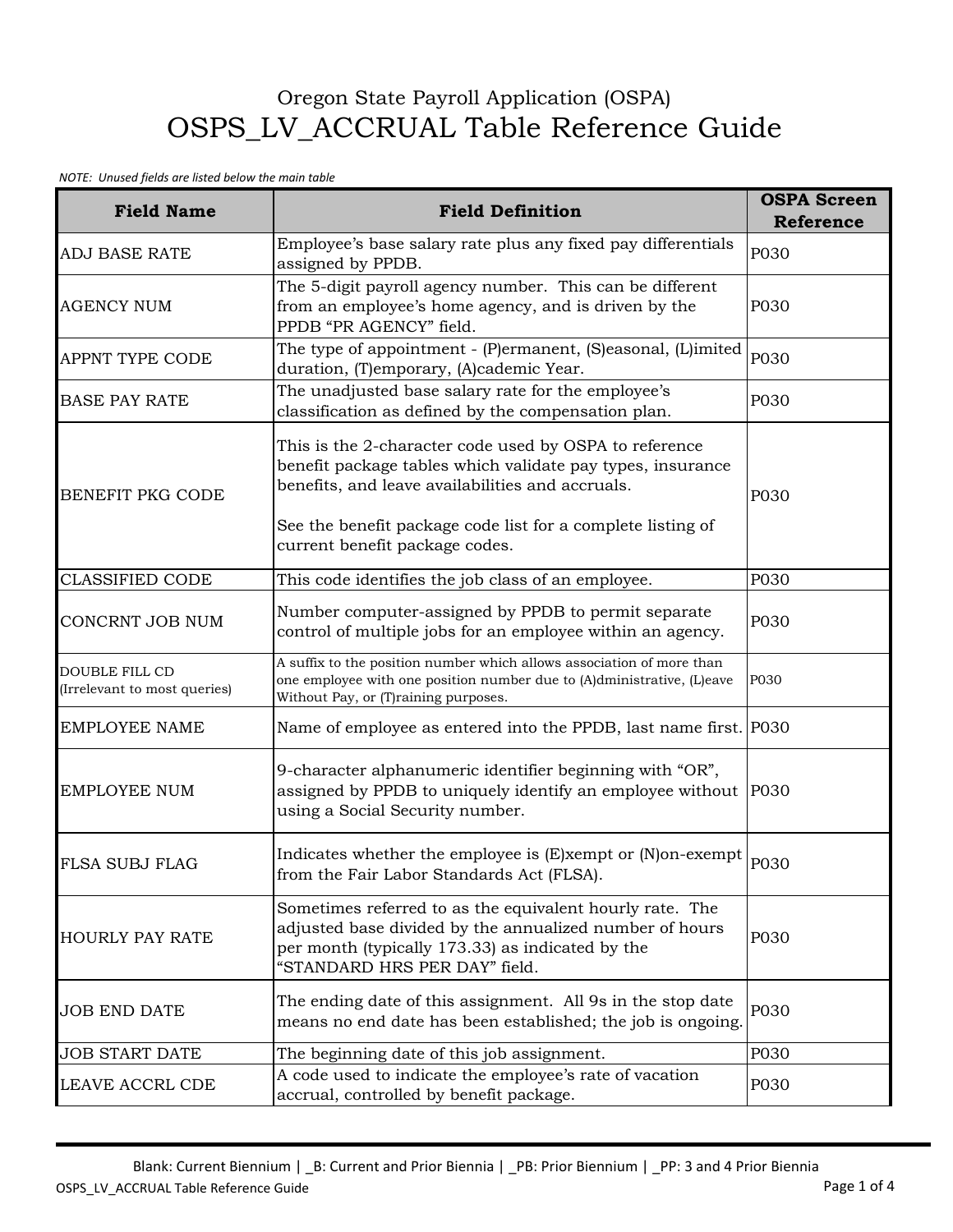## Oregon State Payroll Application (OSPA) OSPS\_LV\_ACCRUAL Table Reference Guide

## *NOTE: Unused fields are listed below the main table*

| <b>Field Name</b>                                     | <b>Field Definition</b>                                                                                                                                                                                                                                                   | <b>OSPA Screen</b><br><b>Reference</b> |
|-------------------------------------------------------|---------------------------------------------------------------------------------------------------------------------------------------------------------------------------------------------------------------------------------------------------------------------------|----------------------------------------|
| <b>ADJ BASE RATE</b>                                  | Employee's base salary rate plus any fixed pay differentials<br>assigned by PPDB.                                                                                                                                                                                         | P030                                   |
| <b>AGENCY NUM</b>                                     | The 5-digit payroll agency number. This can be different<br>from an employee's home agency, and is driven by the<br>PPDB "PR AGENCY" field.                                                                                                                               | P030                                   |
| APPNT TYPE CODE                                       | The type of appointment - (P)ermanent, (S)easonal, (L)imited<br>duration, (T)emporary, (A)cademic Year.                                                                                                                                                                   | P030                                   |
| <b>BASE PAY RATE</b>                                  | The unadjusted base salary rate for the employee's<br>classification as defined by the compensation plan.                                                                                                                                                                 | P030                                   |
| <b>BENEFIT PKG CODE</b>                               | This is the 2-character code used by OSPA to reference<br>benefit package tables which validate pay types, insurance<br>benefits, and leave availabilities and accruals.<br>See the benefit package code list for a complete listing of<br>current benefit package codes. | P030                                   |
| <b>CLASSIFIED CODE</b>                                | This code identifies the job class of an employee.                                                                                                                                                                                                                        | P030                                   |
| CONCRNT JOB NUM                                       | Number computer-assigned by PPDB to permit separate<br>control of multiple jobs for an employee within an agency.                                                                                                                                                         | P030                                   |
| <b>DOUBLE FILL CD</b><br>(Irrelevant to most queries) | A suffix to the position number which allows association of more than<br>one employee with one position number due to (A)dministrative, (L)eave<br>Without Pay, or (T)raining purposes.                                                                                   | P030                                   |
| <b>EMPLOYEE NAME</b>                                  | Name of employee as entered into the PPDB, last name first. P030                                                                                                                                                                                                          |                                        |
| <b>EMPLOYEE NUM</b>                                   | 9-character alphanumeric identifier beginning with "OR",<br>assigned by PPDB to uniquely identify an employee without P030<br>using a Social Security number.                                                                                                             |                                        |
| <b>FLSA SUBJ FLAG</b>                                 | Indicates whether the employee is (E)xempt or (N)on-exempt<br>from the Fair Labor Standards Act (FLSA).                                                                                                                                                                   | P030                                   |
| <b>HOURLY PAY RATE</b>                                | Sometimes referred to as the equivalent hourly rate. The<br>adjusted base divided by the annualized number of hours<br>per month (typically 173.33) as indicated by the<br>"STANDARD HRS PER DAY" field.                                                                  | P030                                   |
| <b>JOB END DATE</b>                                   | The ending date of this assignment. All 9s in the stop date<br>means no end date has been established; the job is ongoing.                                                                                                                                                | P030                                   |
| <b>JOB START DATE</b>                                 | The beginning date of this job assignment.                                                                                                                                                                                                                                | P030                                   |
| <b>LEAVE ACCRL CDE</b>                                | A code used to indicate the employee's rate of vacation<br>accrual, controlled by benefit package.                                                                                                                                                                        | P030                                   |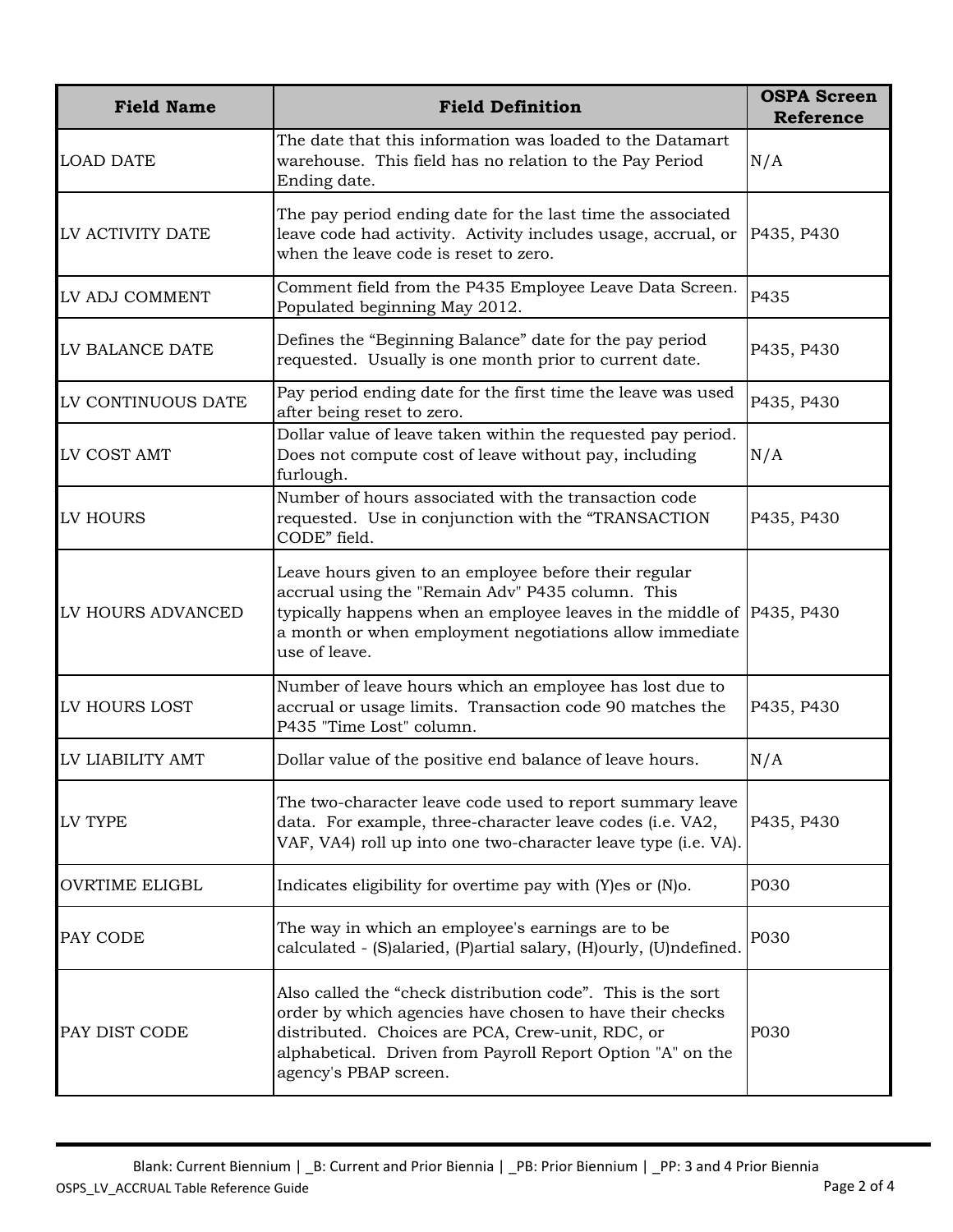| <b>Field Name</b>     | <b>Field Definition</b>                                                                                                                                                                                                                                            | <b>OSPA Screen</b><br><b>Reference</b> |
|-----------------------|--------------------------------------------------------------------------------------------------------------------------------------------------------------------------------------------------------------------------------------------------------------------|----------------------------------------|
| <b>LOAD DATE</b>      | The date that this information was loaded to the Datamart<br>warehouse. This field has no relation to the Pay Period<br>Ending date.                                                                                                                               | N/A                                    |
| LV ACTIVITY DATE      | The pay period ending date for the last time the associated<br>leave code had activity. Activity includes usage, accrual, or<br>when the leave code is reset to zero.                                                                                              | P435, P430                             |
| LV ADJ COMMENT        | Comment field from the P435 Employee Leave Data Screen.<br>Populated beginning May 2012.                                                                                                                                                                           | P435                                   |
| LV BALANCE DATE       | Defines the "Beginning Balance" date for the pay period<br>requested. Usually is one month prior to current date.                                                                                                                                                  | P435, P430                             |
| LV CONTINUOUS DATE    | Pay period ending date for the first time the leave was used<br>after being reset to zero.                                                                                                                                                                         | P435, P430                             |
| LV COST AMT           | Dollar value of leave taken within the requested pay period.<br>Does not compute cost of leave without pay, including<br>furlough.                                                                                                                                 | N/A                                    |
| LV HOURS              | Number of hours associated with the transaction code<br>requested. Use in conjunction with the "TRANSACTION<br>CODE" field.                                                                                                                                        | P435, P430                             |
| LV HOURS ADVANCED     | Leave hours given to an employee before their regular<br>accrual using the "Remain Adv" P435 column. This<br>typically happens when an employee leaves in the middle of P435, P430<br>a month or when employment negotiations allow immediate<br>use of leave.     |                                        |
| LV HOURS LOST         | Number of leave hours which an employee has lost due to<br>accrual or usage limits. Transaction code 90 matches the<br>P435 "Time Lost" column.                                                                                                                    | P435, P430                             |
| LV LIABILITY AMT      | Dollar value of the positive end balance of leave hours.                                                                                                                                                                                                           | N/A                                    |
| LV TYPE               | The two-character leave code used to report summary leave<br>data. For example, three-character leave codes (i.e. VA2,<br>VAF, VA4) roll up into one two-character leave type (i.e. VA).                                                                           | P435, P430                             |
| <b>OVRTIME ELIGBL</b> | Indicates eligibility for overtime pay with $(Y)$ es or $(N)$ o.                                                                                                                                                                                                   | P030                                   |
| PAY CODE              | The way in which an employee's earnings are to be<br>calculated - (S)alaried, (P)artial salary, (H)ourly, (U)ndefined.                                                                                                                                             | P030                                   |
| PAY DIST CODE         | Also called the "check distribution code". This is the sort<br>order by which agencies have chosen to have their checks<br>distributed. Choices are PCA, Crew-unit, RDC, or<br>alphabetical. Driven from Payroll Report Option "A" on the<br>agency's PBAP screen. | P030                                   |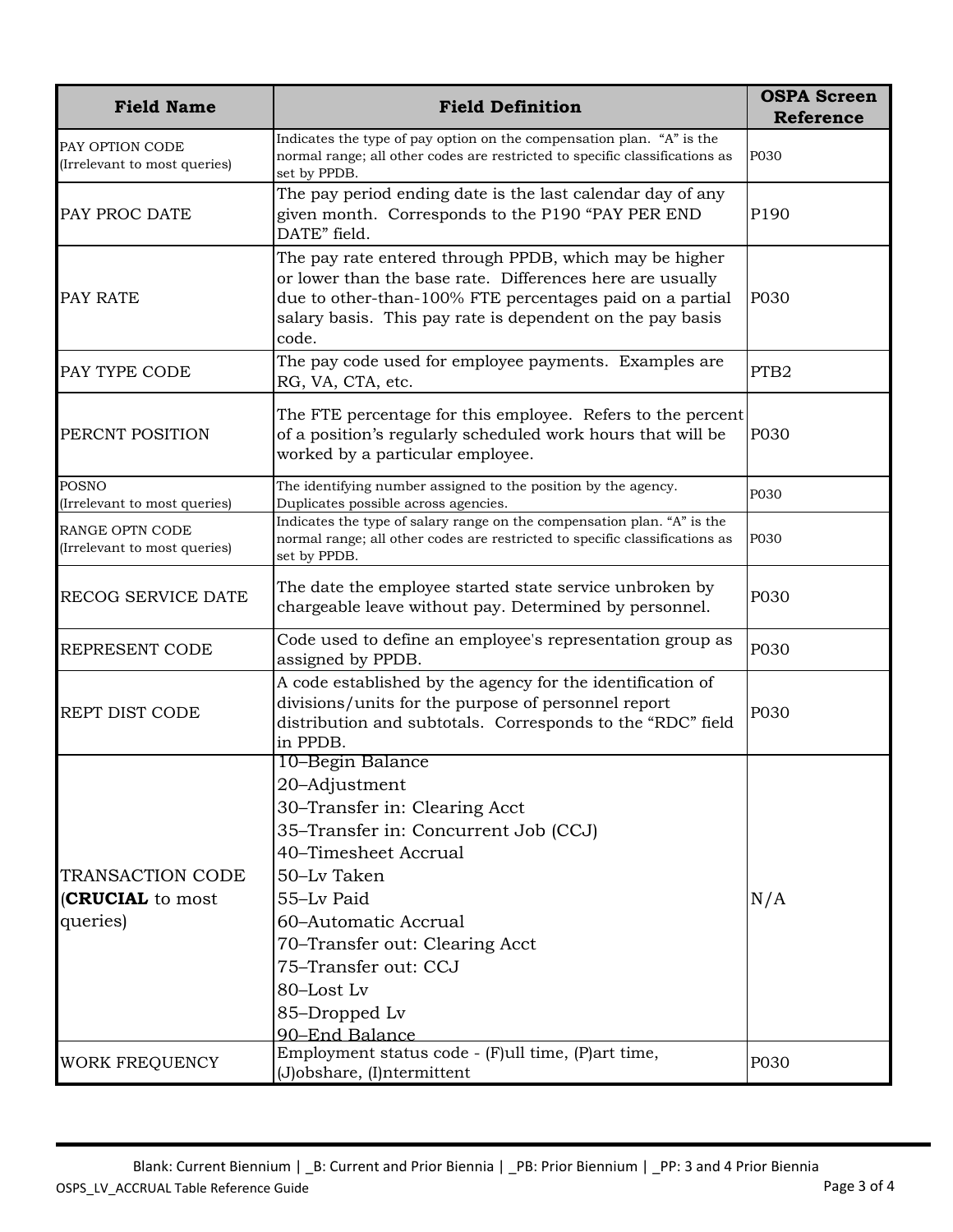| <b>Field Name</b>                                | <b>Field Definition</b>                                                                                                                                                                                                                                                                            | <b>OSPA Screen</b> |
|--------------------------------------------------|----------------------------------------------------------------------------------------------------------------------------------------------------------------------------------------------------------------------------------------------------------------------------------------------------|--------------------|
|                                                  |                                                                                                                                                                                                                                                                                                    | <b>Reference</b>   |
| PAY OPTION CODE<br>(Irrelevant to most queries)  | Indicates the type of pay option on the compensation plan. "A" is the<br>normal range; all other codes are restricted to specific classifications as<br>set by PPDB.                                                                                                                               | P030               |
| PAY PROC DATE                                    | The pay period ending date is the last calendar day of any<br>given month. Corresponds to the P190 "PAY PER END<br>DATE" field.                                                                                                                                                                    | P190               |
| PAY RATE                                         | The pay rate entered through PPDB, which may be higher<br>or lower than the base rate. Differences here are usually<br>due to other-than-100% FTE percentages paid on a partial<br>salary basis. This pay rate is dependent on the pay basis<br>code.                                              | P030               |
| PAY TYPE CODE                                    | The pay code used for employee payments. Examples are<br>RG, VA, CTA, etc.                                                                                                                                                                                                                         | PTB <sub>2</sub>   |
| PERCNT POSITION                                  | The FTE percentage for this employee. Refers to the percent<br>of a position's regularly scheduled work hours that will be<br>worked by a particular employee.                                                                                                                                     | P030               |
| <b>POSNO</b><br>(Irrelevant to most queries)     | The identifying number assigned to the position by the agency.<br>Duplicates possible across agencies.                                                                                                                                                                                             | P030               |
| RANGE OPTN CODE<br>(Irrelevant to most queries)  | Indicates the type of salary range on the compensation plan. "A" is the<br>normal range; all other codes are restricted to specific classifications as<br>set by PPDB.                                                                                                                             | P030               |
| RECOG SERVICE DATE                               | The date the employee started state service unbroken by<br>chargeable leave without pay. Determined by personnel.                                                                                                                                                                                  | P030               |
| REPRESENT CODE                                   | Code used to define an employee's representation group as<br>assigned by PPDB.                                                                                                                                                                                                                     | P030               |
| REPT DIST CODE                                   | A code established by the agency for the identification of<br>divisions/units for the purpose of personnel report<br>distribution and subtotals. Corresponds to the "RDC" field<br>in PPDB.                                                                                                        | P030               |
| TRANSACTION CODE<br>(CRUCIAL to most<br>queries) | 10–Begin Balance<br>20-Adjustment<br>30-Transfer in: Clearing Acct<br>35-Transfer in: Concurrent Job (CCJ)<br>40-Timesheet Accrual<br>50-Lv Taken<br>55-Lv Paid<br>60-Automatic Accrual<br>70–Transfer out: Clearing Acct<br>75–Transfer out: CCJ<br>80-Lost Lv<br>85-Dropped Lv<br>90-End Balance | N/A                |
| <b>WORK FREQUENCY</b>                            | Employment status code - (F)ull time, (P)art time,<br>(J)obshare, (I)ntermittent                                                                                                                                                                                                                   | P030               |